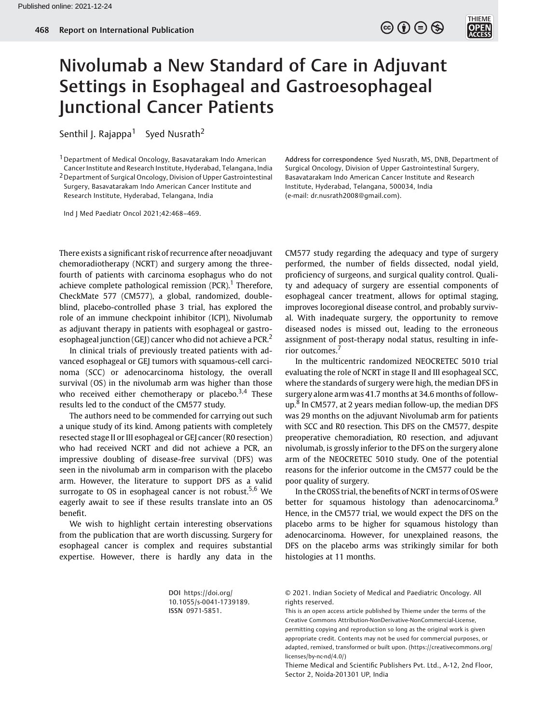

Senthil J. Rajappa<sup>1</sup> Syed Nusrath<sup>2</sup>

1Department of Medical Oncology, Basavatarakam Indo American Cancer Institute and Research Institute, Hyderabad, Telangana, India 2Department of Surgical Oncology, Division of Upper Gastrointestinal Surgery, Basavatarakam Indo American Cancer Institute and

Research Institute, Hyderabad, Telangana, India

Ind J Med Paediatr Oncol 2021;42:468–469.

Address for correspondence Syed Nusrath, MS, DNB, Department of Surgical Oncology, Division of Upper Gastrointestinal Surgery, Basavatarakam Indo American Cancer Institute and Research Institute, Hyderabad, Telangana, 500034, India (e-mail: [dr.nusrath2008@gmail.com\)](mailto:dr.nusrath2008@gmail.com).

 $\circledcirc \circledcirc \circledcirc$ 

There exists a significant risk of recurrence after neoadjuvant chemoradiotherapy (NCRT) and surgery among the threefourth of patients with carcinoma esophagus who do not achieve complete pathological remission  $(PCR)^1$ . Therefore, CheckMate 577 (CM577), a global, randomized, doubleblind, placebo-controlled phase 3 trial, has explored the role of an immune checkpoint inhibitor (ICPI), Nivolumab as adjuvant therapy in patients with esophageal or gastroesophageal junction (GEJ) cancer who did not achieve a PCR.<sup>2</sup>

In clinical trials of previously treated patients with advanced esophageal or GEJ tumors with squamous-cell carcinoma (SCC) or adenocarcinoma histology, the overall survival (OS) in the nivolumab arm was higher than those who received either chemotherapy or placebo.<sup>3,4</sup> These results led to the conduct of the CM577 study.

The authors need to be commended for carrying out such a unique study of its kind. Among patients with completely resected stage II or III esophageal or GEJ cancer (R0 resection) who had received NCRT and did not achieve a PCR, an impressive doubling of disease-free survival (DFS) was seen in the nivolumab arm in comparison with the placebo arm. However, the literature to support DFS as a valid surrogate to OS in esophageal cancer is not robust.<sup>5,6</sup> We eagerly await to see if these results translate into an OS benefit.

We wish to highlight certain interesting observations from the publication that are worth discussing. Surgery for esophageal cancer is complex and requires substantial expertise. However, there is hardly any data in the

CM577 study regarding the adequacy and type of surgery performed, the number of fields dissected, nodal yield, proficiency of surgeons, and surgical quality control. Quality and adequacy of surgery are essential components of esophageal cancer treatment, allows for optimal staging, improves locoregional disease control, and probably survival. With inadequate surgery, the opportunity to remove diseased nodes is missed out, leading to the erroneous assignment of post-therapy nodal status, resulting in inferior outcomes.<sup>7</sup>

In the multicentric randomized NEOCRETEC 5010 trial evaluating the role of NCRT in stage II and III esophageal SCC, where the standards of surgery were high, the median DFS in surgery alone arm was 41.7 months at 34.6 months of followup.<sup>8</sup> In CM577, at 2 years median follow-up, the median DFS was 29 months on the adjuvant Nivolumab arm for patients with SCC and R0 resection. This DFS on the CM577, despite preoperative chemoradiation, R0 resection, and adjuvant nivolumab, is grossly inferior to the DFS on the surgery alone arm of the NEOCRETEC 5010 study. One of the potential reasons for the inferior outcome in the CM577 could be the poor quality of surgery.

In the CROSS trial, the benefits of NCRT in terms of OSwere better for squamous histology than adenocarcinoma.<sup>9</sup> Hence, in the CM577 trial, we would expect the DFS on the placebo arms to be higher for squamous histology than adenocarcinoma. However, for unexplained reasons, the DFS on the placebo arms was strikingly similar for both histologies at 11 months.

DOI [https://doi.org/](https://doi.org/10.1055/s-0041-1739189) [10.1055/s-0041-1739189](https://doi.org/10.1055/s-0041-1739189). ISSN 0971-5851.

© 2021. Indian Society of Medical and Paediatric Oncology. All rights reserved.

This is an open access article published by Thieme under the terms of the Creative Commons Attribution-NonDerivative-NonCommercial-License, permitting copying and reproduction so long as the original work is given appropriate credit. Contents may not be used for commercial purposes, or adapted, remixed, transformed or built upon. (https://creativecommons.org/ licenses/by-nc-nd/4.0/)

Thieme Medical and Scientific Publishers Pvt. Ltd., A-12, 2nd Floor, Sector 2, Noida-201301 UP, India